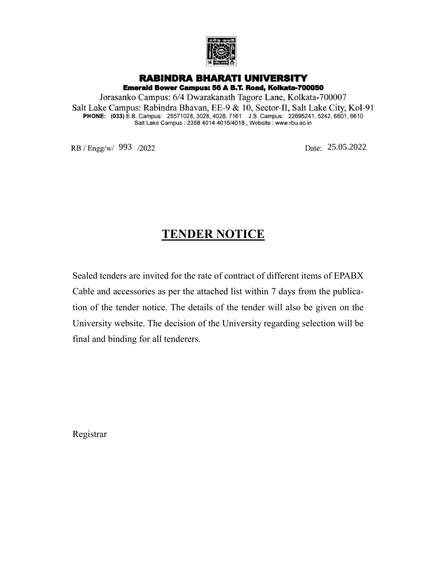

## **RABINDRA BHARATI UNIVERSITY**

Emerald Bower Campus: 56 A B.T. Road, Kolkata-700050 Jorasanko Campus: 6/4 Dwarakanath Tagore Lane, Kolkata-700007

Salt Lake Campus: Rabindra Bhavan, EE-9 & 10, Sector-II, Salt Lake City, Kol-91<br>PHONE: (033) E.B. Campus: 25571028, 3028, 4028, 7161 J.S. Campus: 22695241, 5242, 6601, 6610<br>Salt Lake Campus: 2358 4014-4016/4018, Website :

RB / Engg/w/ 993 /2022 Date: 25.05.2022

## **TENDER NOTICE**

Sealed tenders are invited for the rate of contract of different items of EPABX Cable and accessories as per the attached list within 7 days from the publication of the tender notice. The details of the tender will also be given on the University website. The decision of the University regarding selection will be final and binding for all tenderers.

Registrar